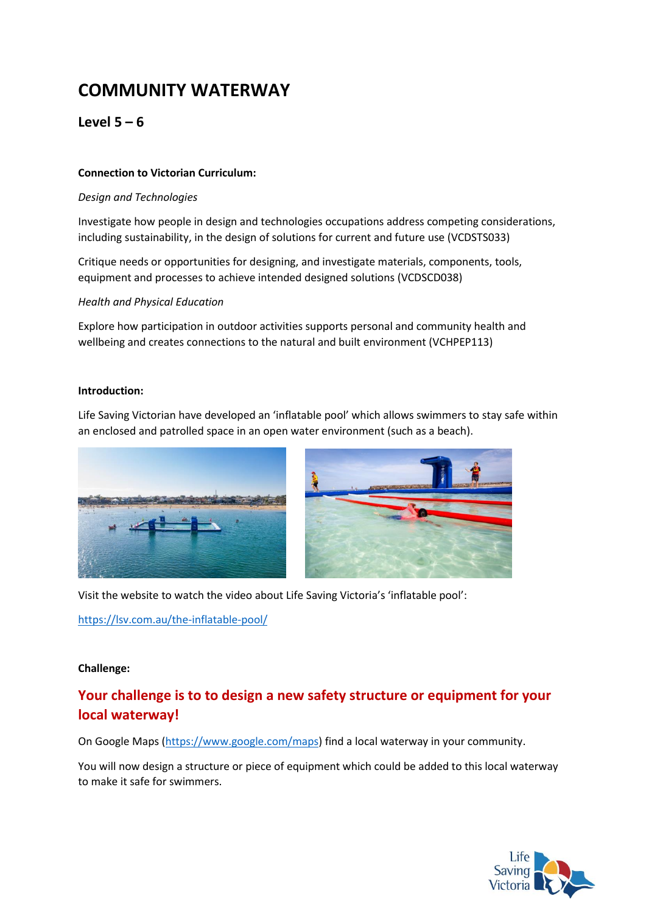# **COMMUNITY WATERWAY**

### $Level 5 - 6$

#### **Connection to Victorian Curriculum:**

#### *Design and Technologies*

Investigate how people in design and technologies occupations address competing considerations, including sustainability, in the design of solutions for current and future use (VCDSTS033)

Critique needs or opportunities for designing, and investigate materials, components, tools, equipment and processes to achieve intended designed solutions (VCDSCD038)

#### *Health and Physical Education*

Explore how participation in outdoor activities supports personal and community health and wellbeing and creates connections to the natural and built environment (VCHPEP113)

#### **Introduction:**

Life Saving Victorian have developed an 'inflatable pool' which allows swimmers to stay safe within an enclosed and patrolled space in an open water environment (such as a beach).





Visit the website to watch the video about Life Saving Victoria's 'inflatable pool':

<https://lsv.com.au/the-inflatable-pool/>

#### **Challenge:**

## **Your challenge is to to design a new safety structure or equipment for your local waterway!**

On Google Maps [\(https://www.google.com/maps\)](https://www.google.com/maps) find a local waterway in your community.

You will now design a structure or piece of equipment which could be added to this local waterway to make it safe for swimmers.

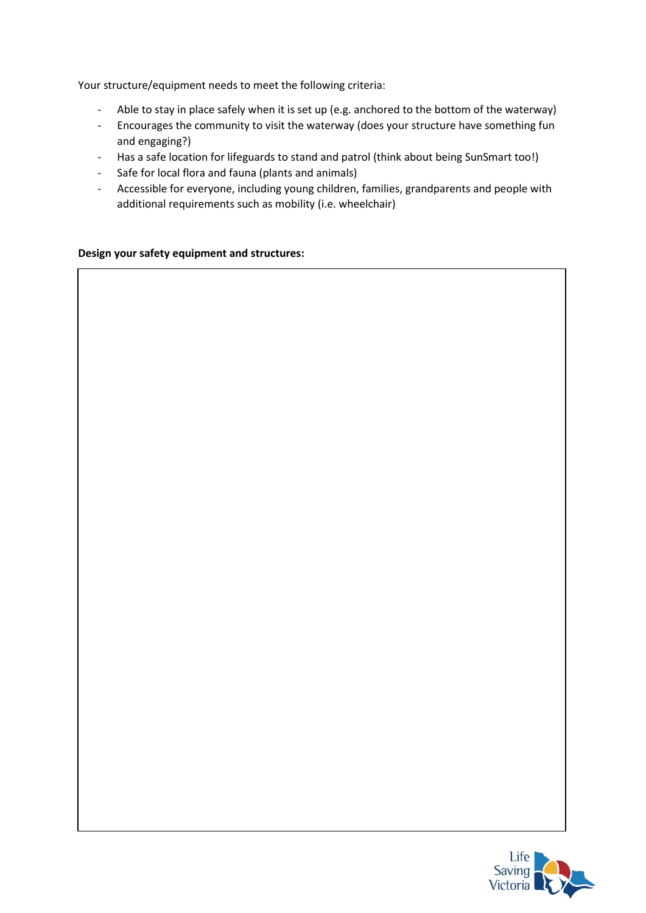Your structure/equipment needs to meet the following criteria:

- Able to stay in place safely when it is set up (e.g. anchored to the bottom of the waterway)
- Encourages the community to visit the waterway (does your structure have something fun and engaging?)
- Has a safe location for lifeguards to stand and patrol (think about being SunSmart too!)
- Safe for local flora and fauna (plants and animals)
- Accessible for everyone, including young children, families, grandparents and people with additional requirements such as mobility (i.e. wheelchair)

#### **Design your safety equipment and structures:**